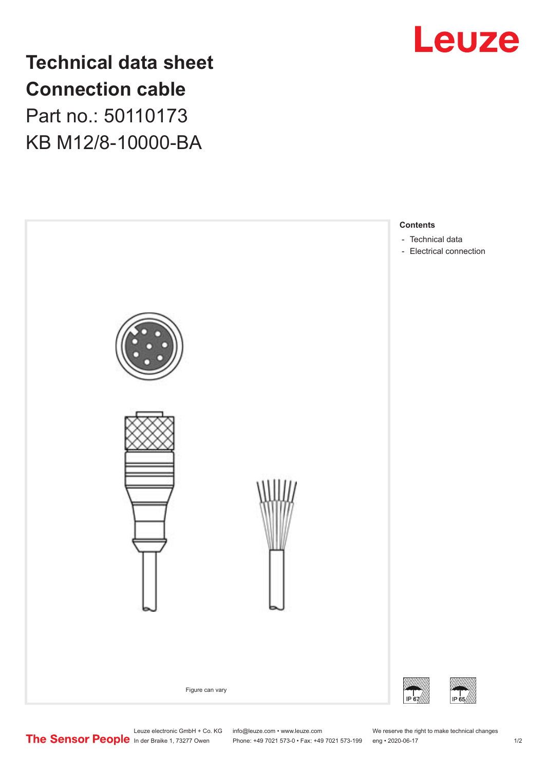

**Technical data sheet Connection cable** Part no.: 50110173 KB M12/8-10000-BA



Leuze electronic GmbH + Co. KG info@leuze.com • www.leuze.com We reserve the right to make technical changes

In der Braike 1, 73277 Owen Phone: +49 7021 573-0 • Fax: +49 7021 573-199 eng • 2020-06-17 1 /2